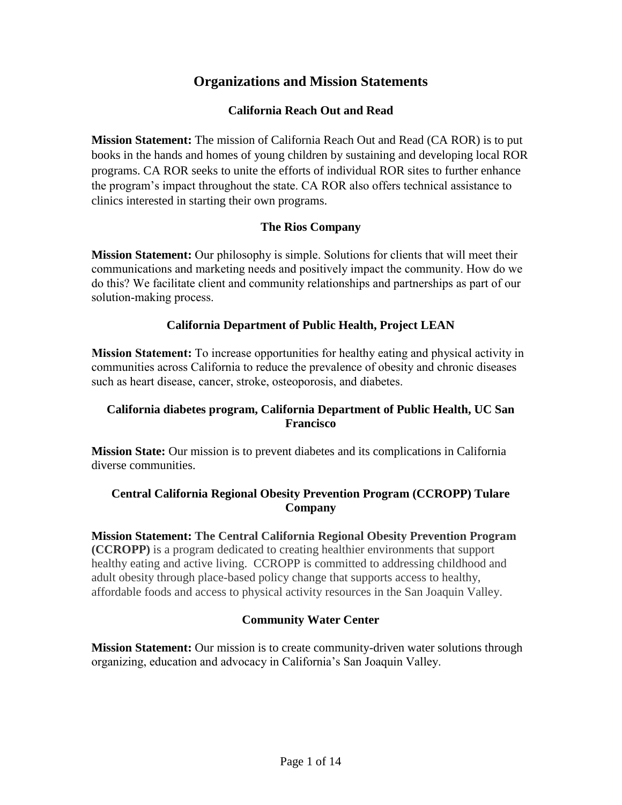# **Organizations and Mission Statements**

## **California Reach Out and Read**

**Mission Statement:** The mission of California Reach Out and Read (CA ROR) is to put books in the hands and homes of young children by sustaining and developing local ROR programs. CA ROR seeks to unite the efforts of individual ROR sites to further enhance the program's impact throughout the state. CA ROR also offers technical assistance to clinics interested in starting their own programs.

## **The Rios Company**

**Mission Statement:** [Our philosophy](http://theriosco.com/philosophy.shtml) is simple. Solutions for clients that will meet their communications and marketing needs and positively impact the community. How do we do this? We facilitate client and community relationships and partnerships as part of our solution-making process.

## **California Department of Public Health, Project LEAN**

**Mission Statement:** To increase opportunities for healthy eating and physical activity in communities across California to reduce the prevalence of obesity and chronic diseases such as heart disease, cancer, stroke, osteoporosis, and diabetes.

## **California diabetes program, California Department of Public Health, UC San Francisco**

**Mission State:** Our mission is to prevent diabetes and its complications in California diverse communities.

## **Central California Regional Obesity Prevention Program (CCROPP) Tulare Company**

**Mission Statement: The Central California Regional Obesity Prevention Program (CCROPP)** is a program dedicated to creating healthier environments that support healthy eating and active living. CCROPP is committed to addressing childhood and adult obesity through place-based policy change that supports access to healthy, affordable foods and access to physical activity resources in the San Joaquin Valley.

# **Community Water Center**

**Mission Statement:** Our mission is to create community-driven water solutions through organizing, education and advocacy in California's San Joaquin Valley.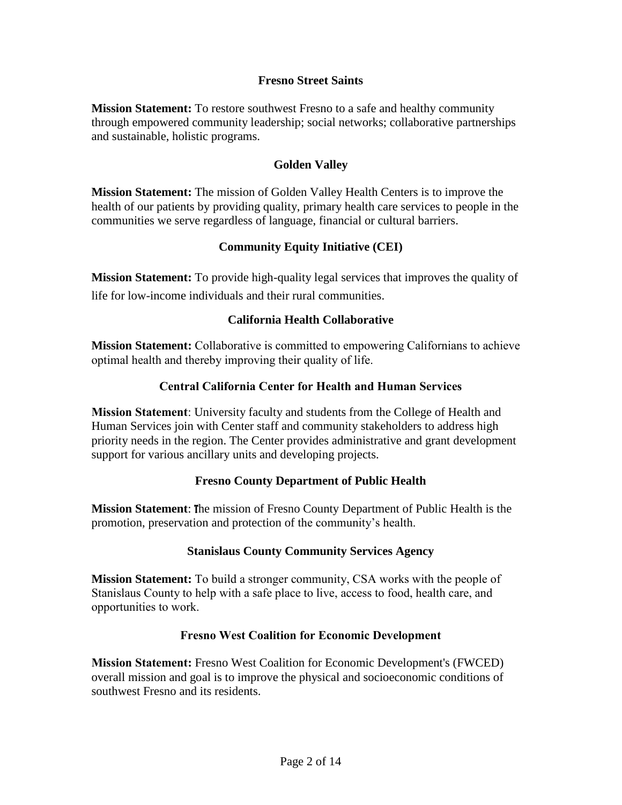## **Fresno Street Saints**

**Mission Statement:** To restore southwest Fresno to a safe and healthy community through empowered community leadership; social networks; collaborative partnerships and sustainable, holistic programs.

## **Golden Valley**

**Mission Statement:** The mission of Golden Valley Health Centers is to improve the health of our patients by providing quality, primary health care services to people in the communities we serve regardless of language, financial or cultural barriers.

## **Community Equity Initiative (CEI)**

**Mission Statement:** To provide high-quality legal services that improves the quality of life for low-income individuals and their rural communities.

## **California Health Collaborative**

**Mission Statement:** Collaborative is committed to empowering Californians to achieve optimal health and thereby improving their quality of life.

## **Central California Center for Health and Human Services**

**Mission Statement**: University faculty and students from the [College of Health and](http://www.csufresno.edu/chhs/)  [Human Services](http://www.csufresno.edu/chhs/) join with Center staff and community stakeholders to address high priority needs in the region. The Center provides administrative and grant development support for various ancillary units and developing projects.

## **Fresno County Department of Public Health**

**Mission Statement**: The mission of Fresno County Department of Public Health is the promotion, preservation and protection of the community's health.

#### **Stanislaus County Community Services Agency**

**Mission Statement:** To build a stronger community, CSA works with the people of Stanislaus County to help with a safe place to live, access to food, health care, and opportunities to work.

## **Fresno West Coalition for Economic Development**

**Mission Statement:** Fresno West Coalition for Economic Development's (FWCED) overall mission and goal is to improve the physical and socioeconomic conditions of southwest Fresno and its residents.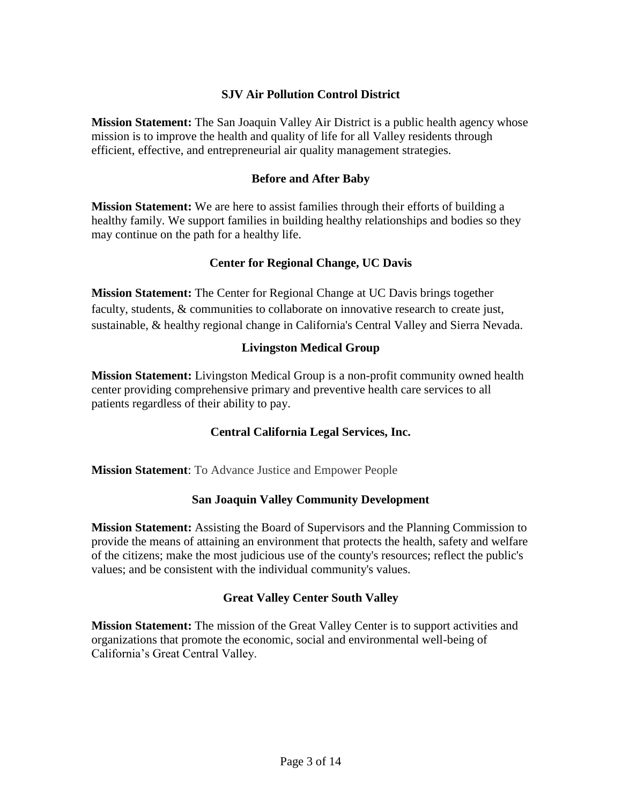## **SJV Air Pollution Control District**

**Mission Statement:** The San Joaquin Valley Air District is a public health agency whose mission is to improve the health and quality of life for all Valley residents through efficient, effective, and entrepreneurial air quality management strategies.

## **Before and After Baby**

**Mission Statement:** We are here to assist families through their efforts of building a healthy family. We support families in building healthy relationships and bodies so they may continue on the path for a healthy life.

## **Center for Regional Change, UC Davis**

**Mission Statement:** The Center for Regional Change at UC Davis brings together faculty, students, & communities to collaborate on innovative research to create just, sustainable, & healthy regional change in California's Central Valley and Sierra Nevada.

## **Livingston Medical Group**

**Mission Statement:** Livingston Medical Group is a non-profit community owned health center providing comprehensive primary and preventive health care services to all patients regardless of their ability to pay.

## **Central California Legal Services, Inc.**

**Mission Statement**: To Advance Justice and Empower People

## **San Joaquin Valley Community Development**

**Mission Statement:** Assisting the Board of Supervisors and the Planning Commission to provide the means of attaining an environment that protects the health, safety and welfare of the citizens; make the most judicious use of the county's resources; reflect the public's values; and be consistent with the individual community's values.

## **Great Valley Center South Valley**

**Mission Statement:** The mission of the Great Valley Center is to support activities and organizations that promote the economic, social and environmental well-being of California's Great Central Valley.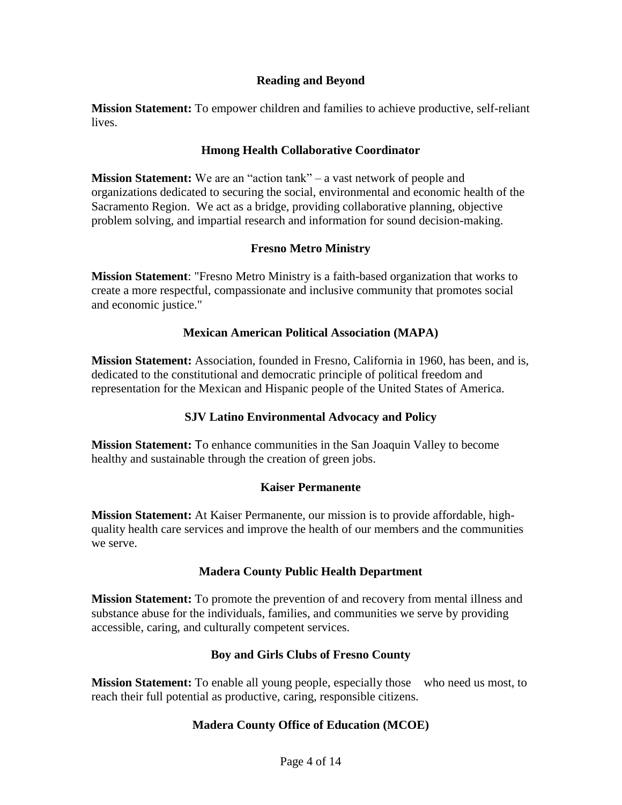## **Reading and Beyond**

**Mission Statement:** To empower children and families to achieve productive, self-reliant lives.

## **Hmong Health Collaborative Coordinator**

**Mission Statement:** We are an "action tank" – a vast network of people and organizations dedicated to securing the social, environmental and economic health of the Sacramento Region. We act as a bridge, providing collaborative planning, objective problem solving, and impartial research and information for sound decision-making.

## **Fresno Metro Ministry**

**Mission Statement**: "Fresno Metro Ministry is a faith-based organization that works to create a more respectful, compassionate and inclusive community that promotes social and economic justice."

## **Mexican American Political Association (MAPA)**

**Mission Statement:** Association, founded in Fresno, California in 1960, has been, and is, dedicated to the constitutional and democratic principle of political freedom and representation for the Mexican and Hispanic people of the United States of America.

## **SJV Latino Environmental Advocacy and Policy**

**Mission Statement:** To enhance communities in the San Joaquin Valley to become healthy and sustainable through the creation of green jobs.

#### **Kaiser Permanente**

**Mission Statement:** At Kaiser Permanente, our mission is to provide affordable, highquality health care services and improve the health of our members and the communities we serve.

#### **Madera County Public Health Department**

**Mission Statement:** To promote the prevention of and recovery from mental illness and substance abuse for the individuals, families, and communities we serve by providing accessible, caring, and culturally competent services.

#### **Boy and Girls Clubs of Fresno County**

**Mission Statement:** To enable all young people, especially those who need us most, to reach their full potential as productive, caring, responsible citizens.

## **Madera County Office of Education (MCOE)**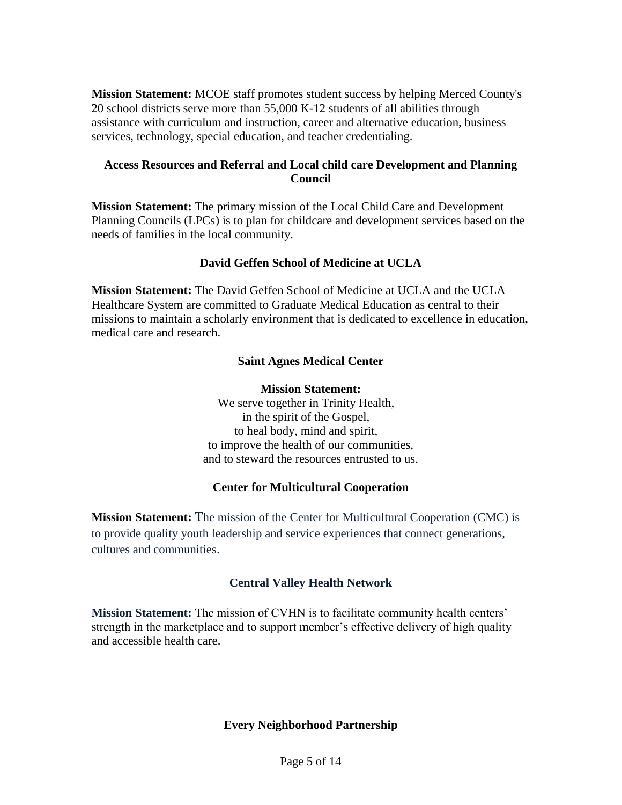**Mission Statement:** MCOE staff promotes student success by helping Merced County's 20 school districts serve more than 55,000 K-12 students of all abilities through assistance with curriculum and instruction, career and alternative education, business services, technology, special education, and teacher credentialing.

## **Access Resources and Referral and Local child care Development and Planning Council**

**Mission Statement:** The primary mission of the Local Child Care and Development Planning Councils (LPCs) is to plan for childcare and development services based on the needs of families in the local community.

## **David Geffen School of Medicine at UCLA**

**Mission Statement:** The David Geffen School of Medicine at UCLA and the UCLA Healthcare System are committed to Graduate Medical Education as central to their missions to maintain a scholarly environment that is dedicated to excellence in education, medical care and research.

## **Saint Agnes Medical Center**

#### **Mission Statement:**

We serve together in Trinity Health, in the spirit of the Gospel, to heal body, mind and spirit, to improve the health of our communities, and to steward the resources entrusted to us.

## **Center for Multicultural Cooperation**

**Mission Statement:** The mission of the Center for Multicultural Cooperation (CMC) is to provide quality youth leadership and service experiences that connect generations, cultures and communities.

## **Central Valley Health Network**

**Mission Statement:** The mission of CVHN is to facilitate community health centers' strength in the marketplace and to support member's effective delivery of high quality and accessible health care.

# **Every Neighborhood Partnership**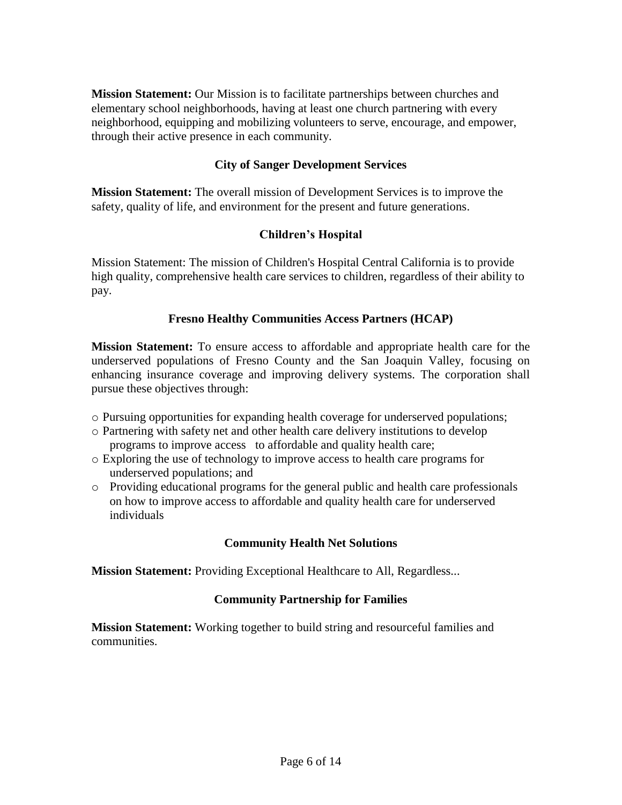**Mission Statement:** Our Mission is to facilitate partnerships between churches and elementary school neighborhoods, having at least one church partnering with every neighborhood, equipping and mobilizing volunteers to serve, encourage, and empower, through their active presence in each community.

## **City of Sanger Development Services**

**Mission Statement:** The overall mission of Development Services is to improve the safety, quality of life, and environment for the present and future generations.

## **Children's Hospital**

Mission Statement: The mission of Children's Hospital Central California is to provide high quality, comprehensive health care services to children, regardless of their ability to pay.

## **Fresno Healthy Communities Access Partners (HCAP)**

**Mission Statement:** To ensure access to affordable and appropriate health care for the underserved populations of Fresno County and the San Joaquin Valley, focusing on enhancing insurance coverage and improving delivery systems. The corporation shall pursue these objectives through:

- o Pursuing opportunities for expanding health coverage for underserved populations;
- o Partnering with safety net and other health care delivery institutions to develop programs to improve access to affordable and quality health care;
- o Exploring the use of technology to improve access to health care programs for underserved populations; and
- o Providing educational programs for the general public and health care professionals on how to improve access to affordable and quality health care for underserved individuals

## **Community Health Net Solutions**

**Mission Statement:** Providing Exceptional Healthcare to All, Regardless...

## **Community Partnership for Families**

**Mission Statement:** Working together to build string and resourceful families and communities.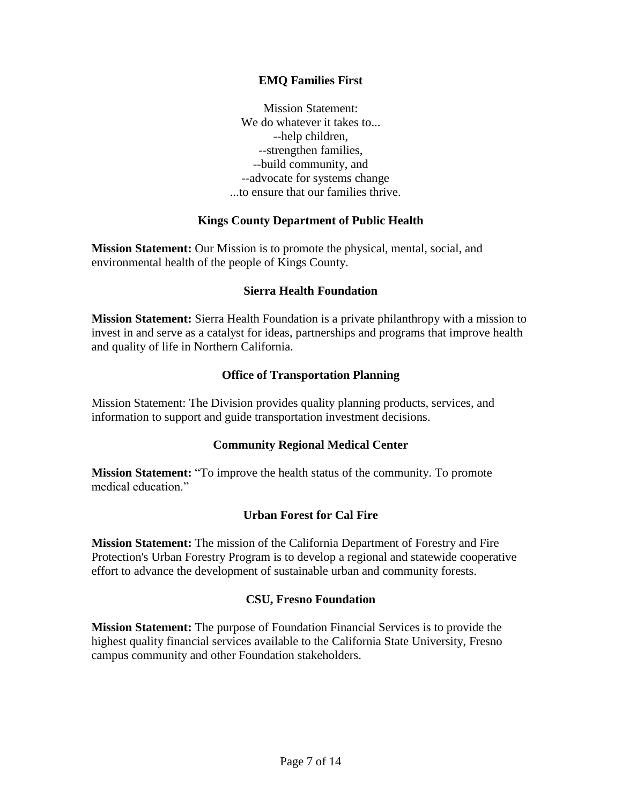### **EMQ Families First**

Mission Statement: We do whatever it takes to... --help children, --strengthen families, --build community, and --advocate for systems change ...to ensure that our families thrive.

#### **Kings County Department of Public Health**

**Mission Statement:** Our Mission is to promote the physical, mental, social, and environmental health of the people of Kings County.

#### **Sierra Health Foundation**

**Mission Statement:** Sierra Health Foundation is a private philanthropy with a mission to invest in and serve as a catalyst for ideas, partnerships and programs that improve health and quality of life in Northern California.

#### **Office of Transportation Planning**

Mission Statement: The Division provides quality planning products, services, and information to support and guide transportation investment decisions.

#### **Community Regional Medical Center**

**Mission Statement:** "To improve the health status of the community. To promote medical education."

#### **Urban Forest for Cal Fire**

**Mission Statement:** The mission of the California Department of Forestry and Fire Protection's Urban Forestry Program is to develop a regional and statewide cooperative effort to advance the development of sustainable urban and community forests.

#### **CSU, Fresno Foundation**

**Mission Statement:** The purpose of Foundation Financial Services is to provide the highest quality financial services available to the California State University, Fresno campus community and other Foundation stakeholders.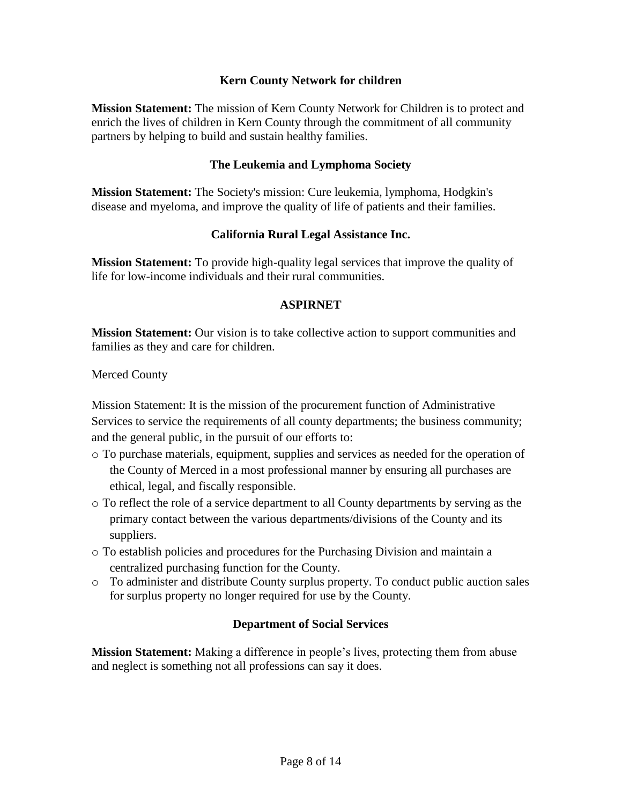## **Kern County Network for children**

**Mission Statement:** The mission of Kern County Network for Children is to protect and enrich the lives of children in Kern County through the commitment of all community partners by helping to build and sustain healthy families.

#### **The Leukemia and Lymphoma Society**

**Mission Statement:** The Society's mission: Cure leukemia, lymphoma, Hodgkin's disease and myeloma, and improve the quality of life of patients and their families.

## **California Rural Legal Assistance Inc.**

**Mission Statement:** To provide high-quality legal services that improve the quality of life for low-income individuals and their rural communities.

## **ASPIRNET**

**Mission Statement:** Our vision is to take collective action to support communities and families as they and care for children.

Merced County

Mission Statement: It is the mission of the procurement function of Administrative Services to service the requirements of all county departments; the business community; and the general public, in the pursuit of our efforts to:

- o To purchase materials, equipment, supplies and services as needed for the operation of the County of Merced in a most professional manner by ensuring all purchases are ethical, legal, and fiscally responsible.
- o To reflect the role of a service department to all County departments by serving as the primary contact between the various departments/divisions of the County and its suppliers.
- o To establish policies and procedures for the Purchasing Division and maintain a centralized purchasing function for the County.
- o To administer and distribute County surplus property. To conduct public auction sales for surplus property no longer required for use by the County.

## **Department of Social Services**

**Mission Statement:** Making a difference in people's lives, protecting them from abuse and neglect is something not all professions can say it does.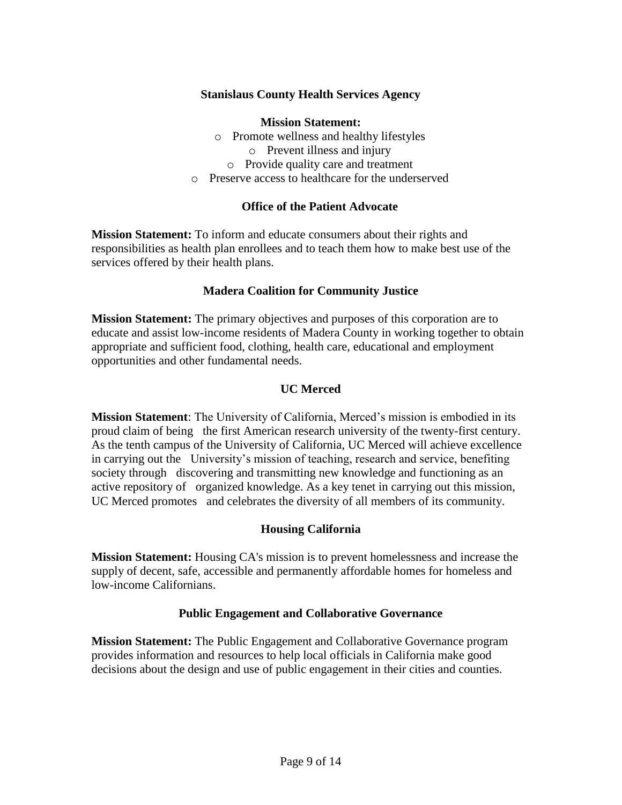## **Stanislaus County Health Services Agency**

#### **Mission Statement:**

- o Promote wellness and healthy lifestyles
	- o Prevent illness and injury
	- o Provide quality care and treatment
- o Preserve access to healthcare for the underserved

#### **Office of the Patient Advocate**

**Mission Statement:** To inform and educate consumers about their rights and responsibilities as health plan enrollees and to teach them how to make best use of the services offered by their health plans.

#### **Madera Coalition for Community Justice**

**Mission Statement:** The primary objectives and purposes of this corporation are to educate and assist low-income residents of Madera County in working together to obtain appropriate and sufficient food, clothing, health care, educational and employment opportunities and other fundamental needs.

## **UC Merced**

**Mission Statement**: The University of California, Merced's mission is embodied in its proud claim of being the first American research university of the twenty-first century. As the tenth campus of the University of California, UC Merced will achieve excellence in carrying out the University's mission of teaching, research and service, benefiting society through discovering and transmitting new knowledge and functioning as an active repository of organized knowledge. As a key tenet in carrying out this mission, UC Merced promotes and celebrates the diversity of all members of its community.

#### **Housing California**

**Mission Statement:** Housing CA's mission is to prevent homelessness and increase the supply of decent, safe, accessible and permanently affordable homes for homeless and low-income Californians.

#### **Public Engagement and Collaborative Governance**

**Mission Statement:** The Public Engagement and Collaborative Governance program provides information and resources to help local officials in California make good decisions about the design and use of public engagement in their cities and counties.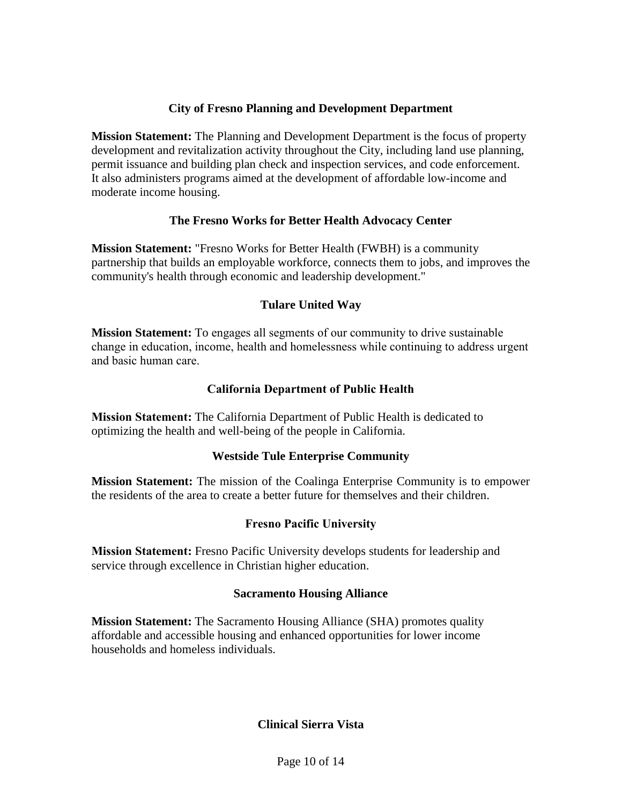## **City of Fresno Planning and Development Department**

**Mission Statement:** The Planning and Development Department is the focus of property development and revitalization activity throughout the City, including land use planning, permit issuance and building plan check and inspection services, and code enforcement. It also administers programs aimed at the development of affordable low-income and moderate income housing.

## **The Fresno Works for Better Health Advocacy Center**

**Mission Statement:** "Fresno Works for Better Health (FWBH) is a community partnership that builds an employable workforce, connects them to jobs, and improves the community's health through economic and leadership development."

## **Tulare United Way**

**Mission Statement:** To engages all segments of our community to drive sustainable change in education, income, health and homelessness while continuing to address urgent and basic human care.

## **California Department of Public Health**

**Mission Statement:** The California Department of Public Health is dedicated to optimizing the health and well-being of the people in California.

## **Westside Tule Enterprise Community**

**Mission Statement:** The mission of the Coalinga Enterprise Community is to empower the residents of the area to create a better future for themselves and their children.

# **Fresno Pacific University**

**Mission Statement:** Fresno Pacific University develops students for leadership and service through excellence in Christian higher education.

## **Sacramento Housing Alliance**

**Mission Statement:** The Sacramento Housing Alliance (SHA) promotes quality affordable and accessible housing and enhanced opportunities for lower income households and homeless individuals.

## **Clinical Sierra Vista**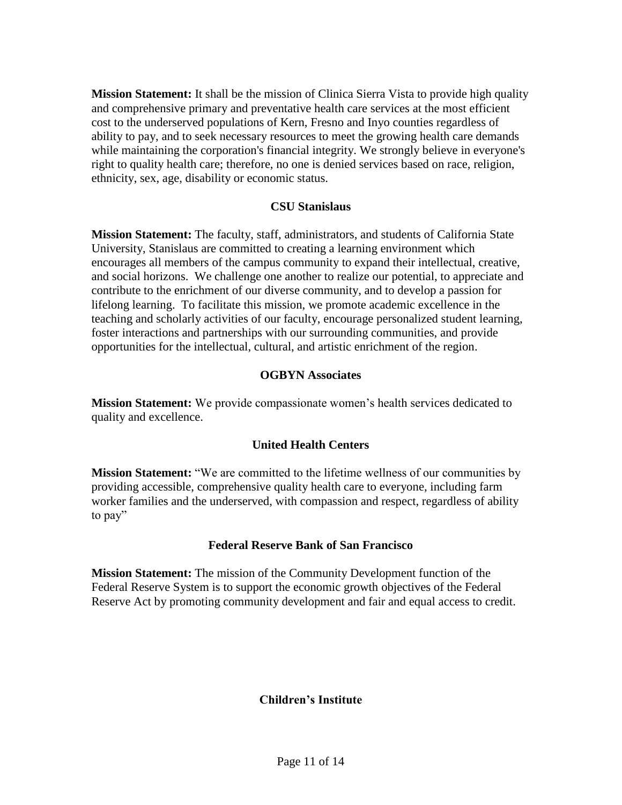**Mission Statement:** It shall be the mission of Clinica Sierra Vista to provide high quality and comprehensive primary and preventative health care services at the most efficient cost to the underserved populations of Kern, Fresno and Inyo counties regardless of ability to pay, and to seek necessary resources to meet the growing health care demands while maintaining the corporation's financial integrity. We strongly believe in everyone's right to quality health care; therefore, no one is denied services based on race, religion, ethnicity, sex, age, disability or economic status.

#### **CSU Stanislaus**

**Mission Statement:** The faculty, staff, administrators, and students of California State University, Stanislaus are committed to creating a learning environment which encourages all members of the campus community to expand their intellectual, creative, and social horizons. We challenge one another to realize our potential, to appreciate and contribute to the enrichment of our diverse community, and to develop a passion for lifelong learning. To facilitate this mission, we promote academic excellence in the teaching and scholarly activities of our faculty, encourage personalized student learning, foster interactions and partnerships with our surrounding communities, and provide opportunities for the intellectual, cultural, and artistic enrichment of the region.

#### **OGBYN Associates**

**Mission Statement:** We provide compassionate women's health services dedicated to quality and excellence.

#### **United Health Centers**

**Mission Statement:** "We are committed to the lifetime wellness of our communities by providing accessible, comprehensive quality health care to everyone, including farm worker families and the underserved, with compassion and respect, regardless of ability to pay"

#### **Federal Reserve Bank of San Francisco**

**Mission Statement:** The mission of the Community Development function of the Federal Reserve System is to support the economic growth objectives of the Federal Reserve Act by promoting community development and fair and equal access to credit.

#### **Children's Institute**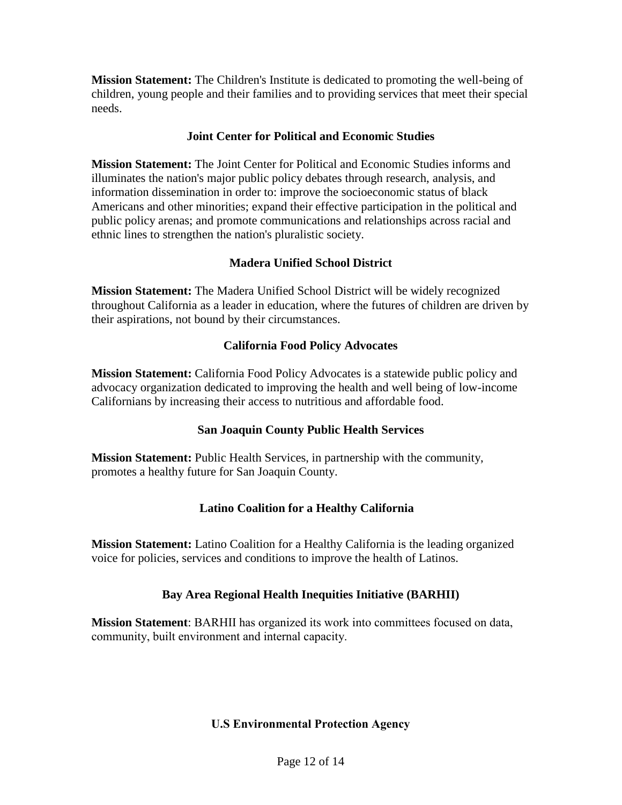**Mission Statement:** The Children's Institute is dedicated to promoting the well-being of children, young people and their families and to providing services that meet their special needs.

## **Joint Center for Political and Economic Studies**

**Mission Statement:** The Joint Center for Political and Economic Studies informs and illuminates the nation's major public policy debates through research, analysis, and information dissemination in order to: improve the socioeconomic status of black Americans and other minorities; expand their effective participation in the political and public policy arenas; and promote communications and relationships across racial and ethnic lines to strengthen the nation's pluralistic society.

# **Madera Unified School District**

**Mission Statement:** The Madera Unified School District will be widely recognized throughout California as a leader in education, where the futures of children are driven by their aspirations, not bound by their circumstances.

# **California Food Policy Advocates**

**Mission Statement:** California Food Policy Advocates is a statewide public policy and advocacy organization dedicated to improving the health and well being of low-income Californians by increasing their access to nutritious and affordable food.

# **San Joaquin County Public Health Services**

**Mission Statement:** Public Health Services, in partnership with the community, promotes a healthy future for San Joaquin County.

# **Latino Coalition for a Healthy California**

**Mission Statement:** Latino Coalition for a Healthy California is the leading organized voice for policies, services and conditions to improve the health of Latinos.

# **Bay Area Regional Health Inequities Initiative (BARHII)**

**Mission Statement**: BARHII has organized its work into committees focused on data, community, built environment and internal capacity.

# **U.S Environmental Protection Agency**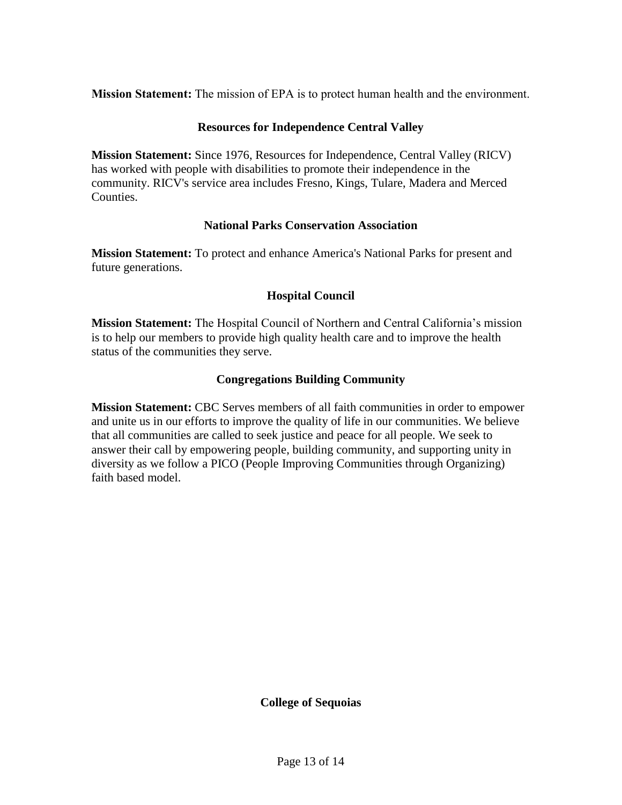**Mission Statement:** The mission of EPA is to protect human health and the environment.

## **Resources for Independence Central Valley**

**Mission Statement:** Since 1976, Resources for Independence, Central Valley (RICV) has worked with people with disabilities to promote their independence in the community. RICV's service area includes Fresno, Kings, Tulare, Madera and Merced Counties.

## **National Parks Conservation Association**

**Mission Statement:** To protect and enhance America's National Parks for present and future generations.

## **Hospital Council**

**Mission Statement:** The Hospital Council of Northern and Central California's mission is to help our members to provide high quality health care and to improve the health status of the communities they serve.

## **Congregations Building Community**

**Mission Statement:** CBC Serves members of all faith communities in order to empower and unite us in our efforts to improve the quality of life in our communities. We believe that all communities are called to seek justice and peace for all people. We seek to answer their call by empowering people, building community, and supporting unity in diversity as we follow a PICO (People Improving Communities through Organizing) faith based model.

**College of Sequoias**